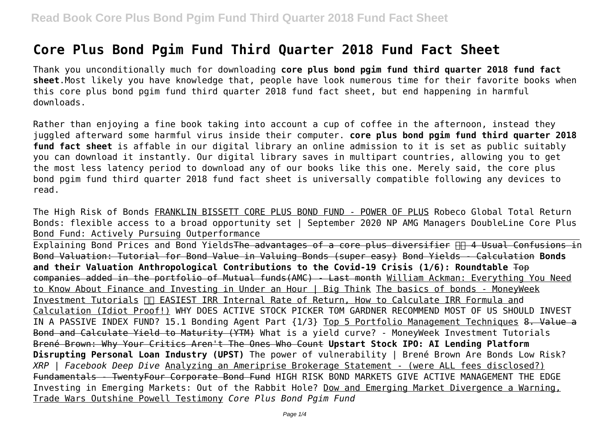# **Core Plus Bond Pgim Fund Third Quarter 2018 Fund Fact Sheet**

Thank you unconditionally much for downloading **core plus bond pgim fund third quarter 2018 fund fact sheet**.Most likely you have knowledge that, people have look numerous time for their favorite books when this core plus bond pgim fund third quarter 2018 fund fact sheet, but end happening in harmful downloads.

Rather than enjoying a fine book taking into account a cup of coffee in the afternoon, instead they juggled afterward some harmful virus inside their computer. **core plus bond pgim fund third quarter 2018 fund fact sheet** is affable in our digital library an online admission to it is set as public suitably you can download it instantly. Our digital library saves in multipart countries, allowing you to get the most less latency period to download any of our books like this one. Merely said, the core plus bond pgim fund third quarter 2018 fund fact sheet is universally compatible following any devices to read.

The High Risk of Bonds FRANKLIN BISSETT CORE PLUS BOND FUND - POWER OF PLUS Robeco Global Total Return Bonds: flexible access to a broad opportunity set | September 2020 NP AMG Managers DoubleLine Core Plus Bond Fund: Actively Pursuing Outperformance Explaining Bond Prices and Bond Yields<del>The advantages of a core plus diversifier AN 4 Usual Confusions i</del>n

Bond Valuation: Tutorial for Bond Value in Valuing Bonds (super easy) Bond Yields - Calculation **Bonds and their Valuation Anthropological Contributions to the Covid-19 Crisis (1/6): Roundtable** Top companies added in the portfolio of Mutual funds(AMC) - Last month William Ackman: Everything You Need to Know About Finance and Investing in Under an Hour | Big Think The basics of bonds - MoneyWeek Investment Tutorials  $\Pi$  EASIEST IRR Internal Rate of Return, How to Calculate IRR Formula and Calculation (Idiot Proof!) WHY DOES ACTIVE STOCK PICKER TOM GARDNER RECOMMEND MOST OF US SHOULD INVEST IN A PASSIVE INDEX FUND? 15.1 Bonding Agent Part {1/3} Top 5 Portfolio Management Techniques 8. Value a Bond and Calculate Yield to Maturity (YTM) What is a yield curve? - MoneyWeek Investment Tutorials Brené Brown: Why Your Critics Aren't The Ones Who Count **Upstart Stock IPO: AI Lending Platform Disrupting Personal Loan Industry (UPST)** The power of vulnerability | Brené Brown Are Bonds Low Risk? *XRP | Facebook Deep Dive* Analyzing an Ameriprise Brokerage Statement - (were ALL fees disclosed?) Fundamentals - TwentyFour Corporate Bond Fund HIGH RISK BOND MARKETS GIVE ACTIVE MANAGEMENT THE EDGE Investing in Emerging Markets: Out of the Rabbit Hole? Dow and Emerging Market Divergence a Warning, Trade Wars Outshine Powell Testimony *Core Plus Bond Pgim Fund*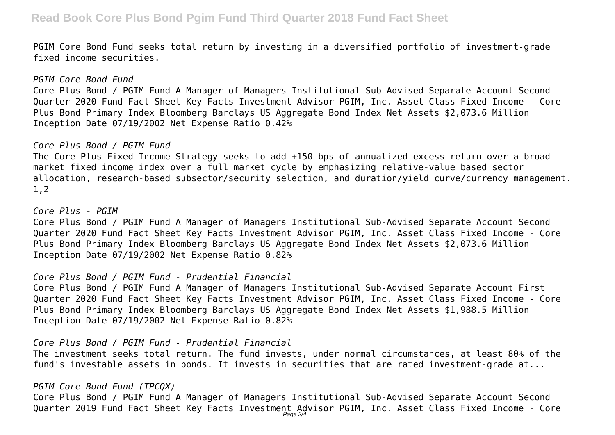PGIM Core Bond Fund seeks total return by investing in a diversified portfolio of investment-grade fixed income securities.

#### *PGIM Core Bond Fund*

Core Plus Bond / PGIM Fund A Manager of Managers Institutional Sub-Advised Separate Account Second Quarter 2020 Fund Fact Sheet Key Facts Investment Advisor PGIM, Inc. Asset Class Fixed Income - Core Plus Bond Primary Index Bloomberg Barclays US Aggregate Bond Index Net Assets \$2,073.6 Million Inception Date 07/19/2002 Net Expense Ratio 0.42%

# *Core Plus Bond / PGIM Fund*

The Core Plus Fixed Income Strategy seeks to add +150 bps of annualized excess return over a broad market fixed income index over a full market cycle by emphasizing relative-value based sector allocation, research-based subsector/security selection, and duration/yield curve/currency management. 1,2

# *Core Plus - PGIM*

Core Plus Bond / PGIM Fund A Manager of Managers Institutional Sub-Advised Separate Account Second Quarter 2020 Fund Fact Sheet Key Facts Investment Advisor PGIM, Inc. Asset Class Fixed Income - Core Plus Bond Primary Index Bloomberg Barclays US Aggregate Bond Index Net Assets \$2,073.6 Million Inception Date 07/19/2002 Net Expense Ratio 0.82%

#### *Core Plus Bond / PGIM Fund - Prudential Financial*

Core Plus Bond / PGIM Fund A Manager of Managers Institutional Sub-Advised Separate Account First Quarter 2020 Fund Fact Sheet Key Facts Investment Advisor PGIM, Inc. Asset Class Fixed Income - Core Plus Bond Primary Index Bloomberg Barclays US Aggregate Bond Index Net Assets \$1,988.5 Million Inception Date 07/19/2002 Net Expense Ratio 0.82%

# *Core Plus Bond / PGIM Fund - Prudential Financial*

The investment seeks total return. The fund invests, under normal circumstances, at least 80% of the fund's investable assets in bonds. It invests in securities that are rated investment-grade at...

#### *PGIM Core Bond Fund (TPCQX)*

Core Plus Bond / PGIM Fund A Manager of Managers Institutional Sub-Advised Separate Account Second Quarter 2019 Fund Fact Sheet Key Facts Investment Advisor PGIM, Inc. Asset Class Fixed Income - Core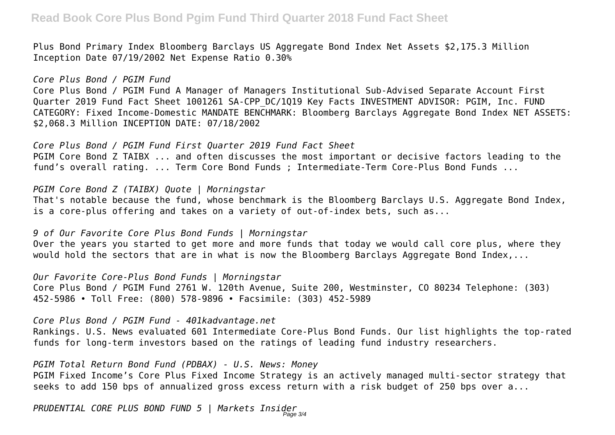# **Read Book Core Plus Bond Pgim Fund Third Quarter 2018 Fund Fact Sheet**

Plus Bond Primary Index Bloomberg Barclays US Aggregate Bond Index Net Assets \$2,175.3 Million Inception Date 07/19/2002 Net Expense Ratio 0.30%

*Core Plus Bond / PGIM Fund* Core Plus Bond / PGIM Fund A Manager of Managers Institutional Sub-Advised Separate Account First Quarter 2019 Fund Fact Sheet 1001261 SA-CPP\_DC/1Q19 Key Facts INVESTMENT ADVISOR: PGIM, Inc. FUND CATEGORY: Fixed Income-Domestic MANDATE BENCHMARK: Bloomberg Barclays Aggregate Bond Index NET ASSETS: \$2,068.3 Million INCEPTION DATE: 07/18/2002

*Core Plus Bond / PGIM Fund First Quarter 2019 Fund Fact Sheet* PGIM Core Bond Z TAIBX ... and often discusses the most important or decisive factors leading to the fund's overall rating. ... Term Core Bond Funds ; Intermediate-Term Core-Plus Bond Funds ...

*PGIM Core Bond Z (TAIBX) Quote | Morningstar*

That's notable because the fund, whose benchmark is the Bloomberg Barclays U.S. Aggregate Bond Index, is a core-plus offering and takes on a variety of out-of-index bets, such as...

*9 of Our Favorite Core Plus Bond Funds | Morningstar*

Over the years you started to get more and more funds that today we would call core plus, where they would hold the sectors that are in what is now the Bloomberg Barclays Aggregate Bond Index,...

*Our Favorite Core-Plus Bond Funds | Morningstar* Core Plus Bond / PGIM Fund 2761 W. 120th Avenue, Suite 200, Westminster, CO 80234 Telephone: (303) 452-5986 • Toll Free: (800) 578-9896 • Facsimile: (303) 452-5989

*Core Plus Bond / PGIM Fund - 401kadvantage.net*

Rankings. U.S. News evaluated 601 Intermediate Core-Plus Bond Funds. Our list highlights the top-rated funds for long-term investors based on the ratings of leading fund industry researchers.

*PGIM Total Return Bond Fund (PDBAX) - U.S. News: Money*

PGIM Fixed Income's Core Plus Fixed Income Strategy is an actively managed multi-sector strategy that seeks to add 150 bps of annualized gross excess return with a risk budget of 250 bps over a...

*PRUDENTIAL CORE PLUS BOND FUND 5 | Markets Insider* Page 3/4